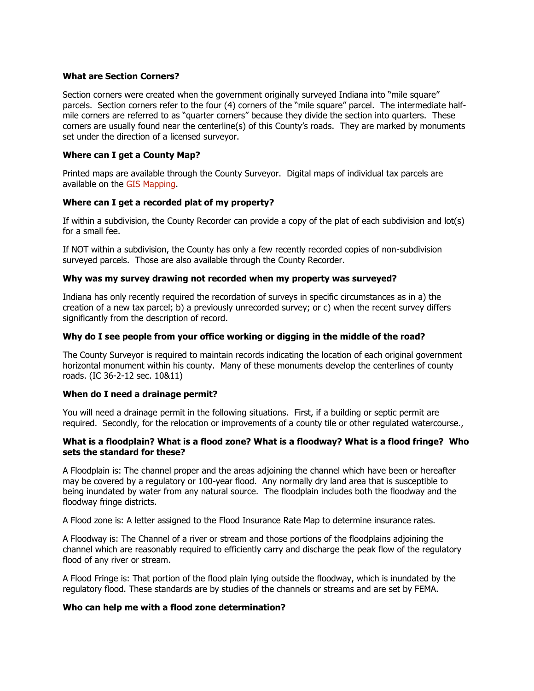### **What are Section Corners?**

Section corners were created when the government originally surveyed Indiana into "mile square" parcels. Section corners refer to the four (4) corners of the "mile square" parcel. The intermediate halfmile corners are referred to as "quarter corners" because they divide the section into quarters. These corners are usually found near the centerline(s) of this County's roads. They are marked by monuments set under the direction of a licensed surveyor.

### **Where can I get a County Map?**

Printed maps are available through the County Surveyor. Digital maps of individual tax parcels are available on the [GIS Mapping.](http://beacon.schneidercorp.com/?site=HancockCountyIN)

### **Where can I get a recorded plat of my property?**

If within a subdivision, the County Recorder can provide a copy of the plat of each subdivision and lot(s) for a small fee.

If NOT within a subdivision, the County has only a few recently recorded copies of non-subdivision surveyed parcels. Those are also available through the County Recorder.

### **Why was my survey drawing not recorded when my property was surveyed?**

Indiana has only recently required the recordation of surveys in specific circumstances as in a) the creation of a new tax parcel; b) a previously unrecorded survey; or c) when the recent survey differs significantly from the description of record.

### **Why do I see people from your office working or digging in the middle of the road?**

The County Surveyor is required to maintain records indicating the location of each original government horizontal monument within his county. Many of these monuments develop the centerlines of county roads. (IC 36-2-12 sec. 10&11)

#### **When do I need a drainage permit?**

You will need a drainage permit in the following situations. First, if a building or septic permit are required. Secondly, for the relocation or improvements of a county tile or other regulated watercourse.,

### **What is a floodplain? What is a flood zone? What is a floodway? What is a flood fringe? Who sets the standard for these?**

A Floodplain is: The channel proper and the areas adjoining the channel which have been or hereafter may be covered by a regulatory or 100-year flood. Any normally dry land area that is susceptible to being inundated by water from any natural source. The floodplain includes both the floodway and the floodway fringe districts.

A Flood zone is: A letter assigned to the Flood Insurance Rate Map to determine insurance rates.

A Floodway is: The Channel of a river or stream and those portions of the floodplains adjoining the channel which are reasonably required to efficiently carry and discharge the peak flow of the regulatory flood of any river or stream.

A Flood Fringe is: That portion of the flood plain lying outside the floodway, which is inundated by the regulatory flood. These standards are by studies of the channels or streams and are set by FEMA.

#### **Who can help me with a flood zone determination?**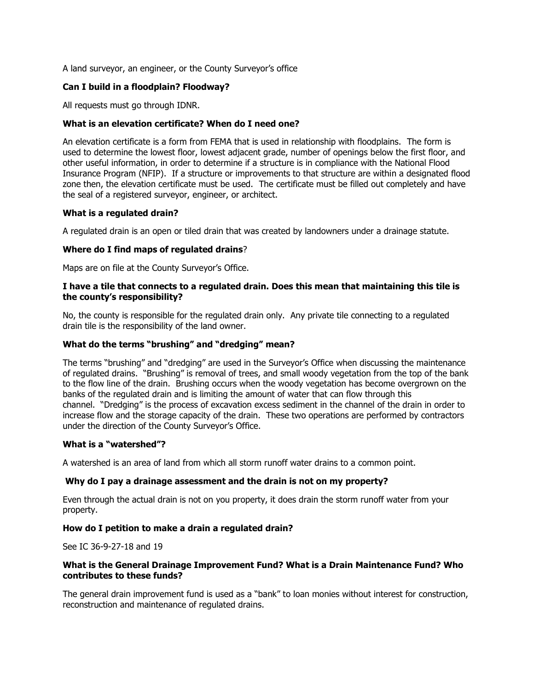A land surveyor, an engineer, or the County Surveyor's office

# **Can I build in a floodplain? Floodway?**

All requests must go through IDNR.

### **What is an elevation certificate? When do I need one?**

An elevation certificate is a form from FEMA that is used in relationship with floodplains. The form is used to determine the lowest floor, lowest adjacent grade, number of openings below the first floor, and other useful information, in order to determine if a structure is in compliance with the National Flood Insurance Program (NFIP). If a structure or improvements to that structure are within a designated flood zone then, the elevation certificate must be used. The certificate must be filled out completely and have the seal of a registered surveyor, engineer, or architect.

### **What is a regulated drain?**

A regulated drain is an open or tiled drain that was created by landowners under a drainage statute.

# **Where do I find maps of regulated drains**?

Maps are on file at the County Surveyor's Office.

### **I have a tile that connects to a regulated drain. Does this mean that maintaining this tile is the county's responsibility?**

No, the county is responsible for the regulated drain only. Any private tile connecting to a regulated drain tile is the responsibility of the land owner.

### **What do the terms "brushing" and "dredging" mean?**

The terms "brushing" and "dredging" are used in the Surveyor's Office when discussing the maintenance of regulated drains. "Brushing" is removal of trees, and small woody vegetation from the top of the bank to the flow line of the drain. Brushing occurs when the woody vegetation has become overgrown on the banks of the regulated drain and is limiting the amount of water that can flow through this channel. "Dredging" is the process of excavation excess sediment in the channel of the drain in order to increase flow and the storage capacity of the drain. These two operations are performed by contractors under the direction of the County Surveyor's Office.

#### **What is a "watershed"?**

A watershed is an area of land from which all storm runoff water drains to a common point.

# **Why do I pay a drainage assessment and the drain is not on my property?**

Even through the actual drain is not on you property, it does drain the storm runoff water from your property.

# **How do I petition to make a drain a regulated drain?**

See IC 36-9-27-18 and 19

# **What is the General Drainage Improvement Fund? What is a Drain Maintenance Fund? Who contributes to these funds?**

The general drain improvement fund is used as a "bank" to loan monies without interest for construction, reconstruction and maintenance of regulated drains.